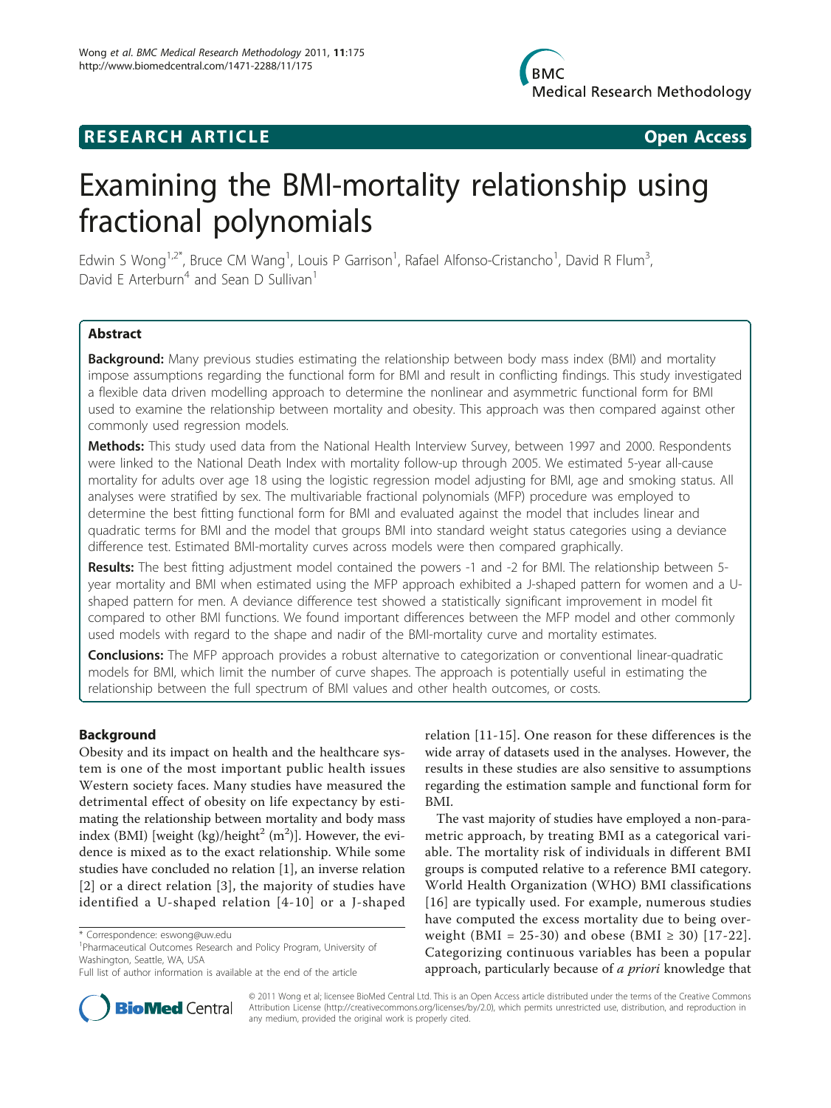# **RESEARCH ARTICLE Example 2018 12:00 Open Access**

# Examining the BMI-mortality relationship using fractional polynomials

Edwin S Wong<sup>1,2\*</sup>, Bruce CM Wang<sup>1</sup>, Louis P Garrison<sup>1</sup>, Rafael Alfonso-Cristancho<sup>1</sup>, David R Flum<sup>3</sup> , David E Arterburn<sup>4</sup> and Sean D Sullivan<sup>1</sup>

# Abstract

**Background:** Many previous studies estimating the relationship between body mass index (BMI) and mortality impose assumptions regarding the functional form for BMI and result in conflicting findings. This study investigated a flexible data driven modelling approach to determine the nonlinear and asymmetric functional form for BMI used to examine the relationship between mortality and obesity. This approach was then compared against other commonly used regression models.

Methods: This study used data from the National Health Interview Survey, between 1997 and 2000. Respondents were linked to the National Death Index with mortality follow-up through 2005. We estimated 5-year all-cause mortality for adults over age 18 using the logistic regression model adjusting for BMI, age and smoking status. All analyses were stratified by sex. The multivariable fractional polynomials (MFP) procedure was employed to determine the best fitting functional form for BMI and evaluated against the model that includes linear and quadratic terms for BMI and the model that groups BMI into standard weight status categories using a deviance difference test. Estimated BMI-mortality curves across models were then compared graphically.

Results: The best fitting adjustment model contained the powers -1 and -2 for BMI. The relationship between 5year mortality and BMI when estimated using the MFP approach exhibited a J-shaped pattern for women and a Ushaped pattern for men. A deviance difference test showed a statistically significant improvement in model fit compared to other BMI functions. We found important differences between the MFP model and other commonly used models with regard to the shape and nadir of the BMI-mortality curve and mortality estimates.

**Conclusions:** The MFP approach provides a robust alternative to categorization or conventional linear-quadratic models for BMI, which limit the number of curve shapes. The approach is potentially useful in estimating the relationship between the full spectrum of BMI values and other health outcomes, or costs.

# Background

Obesity and its impact on health and the healthcare system is one of the most important public health issues Western society faces. Many studies have measured the detrimental effect of obesity on life expectancy by estimating the relationship between mortality and body mass index (BMI) [weight (kg)/height<sup>2</sup> (m<sup>2</sup>)]. However, the evidence is mixed as to the exact relationship. While some studies have concluded no relation [\[1\]](#page-9-0), an inverse relation [[2](#page-9-0)] or a direct relation [\[3](#page-9-0)], the majority of studies have identified a U-shaped relation [[4](#page-9-0)-[10](#page-9-0)] or a J-shaped



The vast majority of studies have employed a non-parametric approach, by treating BMI as a categorical variable. The mortality risk of individuals in different BMI groups is computed relative to a reference BMI category. World Health Organization (WHO) BMI classifications [[16](#page-9-0)] are typically used. For example, numerous studies have computed the excess mortality due to being over-weight (BMI = 25-30) and obese (BMI ≥ 30) [[17](#page-9-0)-[22\]](#page-9-0). Categorizing continuous variables has been a popular approach, particularly because of a priori knowledge that



© 2011 Wong et al; licensee BioMed Central Ltd. This is an Open Access article distributed under the terms of the Creative Commons Attribution License [\(http://creativecommons.org/licenses/by/2.0](http://creativecommons.org/licenses/by/2.0)), which permits unrestricted use, distribution, and reproduction in any medium, provided the original work is properly cited.

<sup>\*</sup> Correspondence: [eswong@uw.edu](mailto:eswong@uw.edu)

<sup>&</sup>lt;sup>1</sup>Pharmaceutical Outcomes Research and Policy Program, University of Washington, Seattle, WA, USA

Full list of author information is available at the end of the article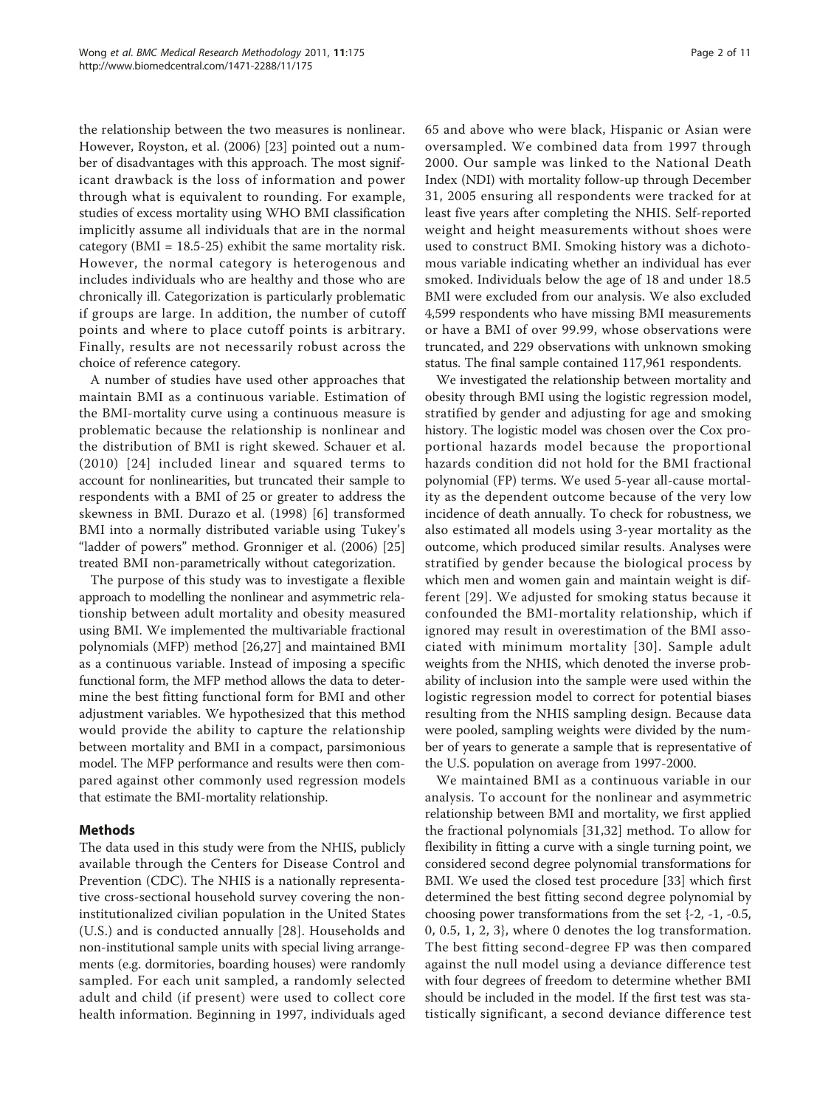the relationship between the two measures is nonlinear. However, Royston, et al. (2006) [[23](#page-9-0)] pointed out a number of disadvantages with this approach. The most significant drawback is the loss of information and power through what is equivalent to rounding. For example, studies of excess mortality using WHO BMI classification implicitly assume all individuals that are in the normal category ( $BMI = 18.5-25$ ) exhibit the same mortality risk. However, the normal category is heterogenous and includes individuals who are healthy and those who are chronically ill. Categorization is particularly problematic if groups are large. In addition, the number of cutoff points and where to place cutoff points is arbitrary. Finally, results are not necessarily robust across the choice of reference category.

A number of studies have used other approaches that maintain BMI as a continuous variable. Estimation of the BMI-mortality curve using a continuous measure is problematic because the relationship is nonlinear and the distribution of BMI is right skewed. Schauer et al. (2010) [[24\]](#page-9-0) included linear and squared terms to account for nonlinearities, but truncated their sample to respondents with a BMI of 25 or greater to address the skewness in BMI. Durazo et al. (1998) [\[6](#page-9-0)] transformed BMI into a normally distributed variable using Tukey's "ladder of powers" method. Gronniger et al. (2006) [\[25](#page-9-0)] treated BMI non-parametrically without categorization.

The purpose of this study was to investigate a flexible approach to modelling the nonlinear and asymmetric relationship between adult mortality and obesity measured using BMI. We implemented the multivariable fractional polynomials (MFP) method [[26,27\]](#page-9-0) and maintained BMI as a continuous variable. Instead of imposing a specific functional form, the MFP method allows the data to determine the best fitting functional form for BMI and other adjustment variables. We hypothesized that this method would provide the ability to capture the relationship between mortality and BMI in a compact, parsimonious model. The MFP performance and results were then compared against other commonly used regression models that estimate the BMI-mortality relationship.

# Methods

The data used in this study were from the NHIS, publicly available through the Centers for Disease Control and Prevention (CDC). The NHIS is a nationally representative cross-sectional household survey covering the noninstitutionalized civilian population in the United States (U.S.) and is conducted annually [[28\]](#page-9-0). Households and non-institutional sample units with special living arrangements (e.g. dormitories, boarding houses) were randomly sampled. For each unit sampled, a randomly selected adult and child (if present) were used to collect core health information. Beginning in 1997, individuals aged 65 and above who were black, Hispanic or Asian were oversampled. We combined data from 1997 through 2000. Our sample was linked to the National Death Index (NDI) with mortality follow-up through December 31, 2005 ensuring all respondents were tracked for at least five years after completing the NHIS. Self-reported weight and height measurements without shoes were used to construct BMI. Smoking history was a dichotomous variable indicating whether an individual has ever smoked. Individuals below the age of 18 and under 18.5 BMI were excluded from our analysis. We also excluded 4,599 respondents who have missing BMI measurements or have a BMI of over 99.99, whose observations were truncated, and 229 observations with unknown smoking status. The final sample contained 117,961 respondents.

We investigated the relationship between mortality and obesity through BMI using the logistic regression model, stratified by gender and adjusting for age and smoking history. The logistic model was chosen over the Cox proportional hazards model because the proportional hazards condition did not hold for the BMI fractional polynomial (FP) terms. We used 5-year all-cause mortality as the dependent outcome because of the very low incidence of death annually. To check for robustness, we also estimated all models using 3-year mortality as the outcome, which produced similar results. Analyses were stratified by gender because the biological process by which men and women gain and maintain weight is different [[29\]](#page-10-0). We adjusted for smoking status because it confounded the BMI-mortality relationship, which if ignored may result in overestimation of the BMI associated with minimum mortality [[30](#page-10-0)]. Sample adult weights from the NHIS, which denoted the inverse probability of inclusion into the sample were used within the logistic regression model to correct for potential biases resulting from the NHIS sampling design. Because data were pooled, sampling weights were divided by the number of years to generate a sample that is representative of the U.S. population on average from 1997-2000.

We maintained BMI as a continuous variable in our analysis. To account for the nonlinear and asymmetric relationship between BMI and mortality, we first applied the fractional polynomials [[31,32](#page-10-0)] method. To allow for flexibility in fitting a curve with a single turning point, we considered second degree polynomial transformations for BMI. We used the closed test procedure [\[33](#page-10-0)] which first determined the best fitting second degree polynomial by choosing power transformations from the set {-2, -1, -0.5, 0, 0.5, 1, 2, 3}, where 0 denotes the log transformation. The best fitting second-degree FP was then compared against the null model using a deviance difference test with four degrees of freedom to determine whether BMI should be included in the model. If the first test was statistically significant, a second deviance difference test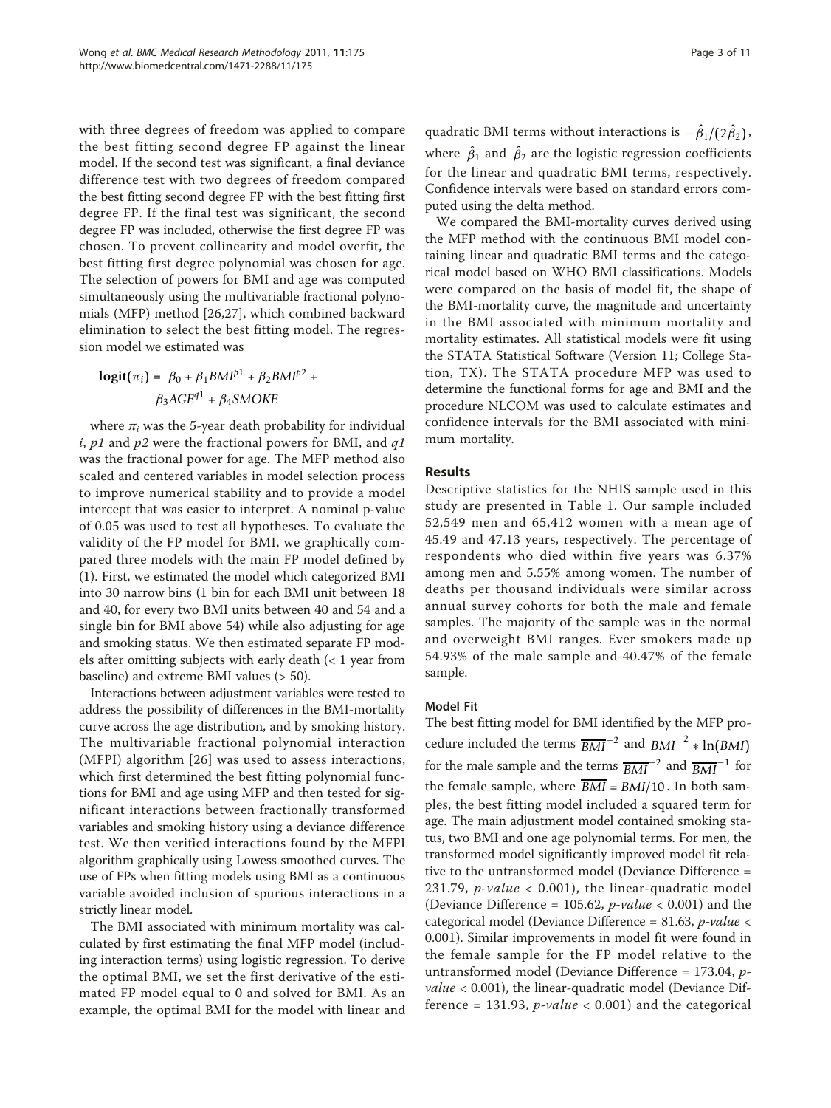with three degrees of freedom was applied to compare the best fitting second degree FP against the linear model. If the second test was significant, a final deviance difference test with two degrees of freedom compared the best fitting second degree FP with the best fitting first degree FP. If the final test was significant, the second degree FP was included, otherwise the first degree FP was chosen. To prevent collinearity and model overfit, the best fitting first degree polynomial was chosen for age. The selection of powers for BMI and age was computed simultaneously using the multivariable fractional polynomials (MFP) method [[26,27\]](#page-9-0), which combined backward elimination to select the best fitting model. The regression model we estimated was

$$
logit(\pi_i) = \beta_0 + \beta_1 B M I^{p1} + \beta_2 B M I^{p2} +
$$

$$
\beta_3 A G E^{q1} + \beta_4 S M O K E
$$

where  $\pi_i$  was the 5-year death probability for individual i, p1 and p2 were the fractional powers for BMI, and  $q1$ was the fractional power for age. The MFP method also scaled and centered variables in model selection process to improve numerical stability and to provide a model intercept that was easier to interpret. A nominal p-value of 0.05 was used to test all hypotheses. To evaluate the validity of the FP model for BMI, we graphically compared three models with the main FP model defined by (1). First, we estimated the model which categorized BMI into 30 narrow bins (1 bin for each BMI unit between 18 and 40, for every two BMI units between 40 and 54 and a single bin for BMI above 54) while also adjusting for age and smoking status. We then estimated separate FP models after omitting subjects with early death  $\left($  < 1 year from baseline) and extreme BMI values (> 50).

Interactions between adjustment variables were tested to address the possibility of differences in the BMI-mortality curve across the age distribution, and by smoking history. The multivariable fractional polynomial interaction (MFPI) algorithm [[26](#page-9-0)] was used to assess interactions, which first determined the best fitting polynomial functions for BMI and age using MFP and then tested for significant interactions between fractionally transformed variables and smoking history using a deviance difference test. We then verified interactions found by the MFPI algorithm graphically using Lowess smoothed curves. The use of FPs when fitting models using BMI as a continuous variable avoided inclusion of spurious interactions in a strictly linear model.

The BMI associated with minimum mortality was calculated by first estimating the final MFP model (including interaction terms) using logistic regression. To derive the optimal BMI, we set the first derivative of the estimated FP model equal to 0 and solved for BMI. As an example, the optimal BMI for the model with linear and

quadratic BMI terms without interactions is  $-\hat{\beta}_1/(2\hat{\beta}_2)$ , where  $\hat{\beta}_1$  and  $\hat{\beta}_2$  are the logistic regression coefficients for the linear and quadratic BMI terms, respectively. Confidence intervals were based on standard errors computed using the delta method.

We compared the BMI-mortality curves derived using the MFP method with the continuous BMI model containing linear and quadratic BMI terms and the categorical model based on WHO BMI classifications. Models were compared on the basis of model fit, the shape of the BMI-mortality curve, the magnitude and uncertainty in the BMI associated with minimum mortality and mortality estimates. All statistical models were fit using the STATA Statistical Software (Version 11; College Station, TX). The STATA procedure MFP was used to determine the functional forms for age and BMI and the procedure NLCOM was used to calculate estimates and confidence intervals for the BMI associated with minimum mortality.

# Results

Descriptive statistics for the NHIS sample used in this study are presented in Table [1](#page-3-0). Our sample included 52,549 men and 65,412 women with a mean age of 45.49 and 47.13 years, respectively. The percentage of respondents who died within five years was 6.37% among men and 5.55% among women. The number of deaths per thousand individuals were similar across annual survey cohorts for both the male and female samples. The majority of the sample was in the normal and overweight BMI ranges. Ever smokers made up 54.93% of the male sample and 40.47% of the female sample.

# Model Fit

The best fitting model for BMI identified by the MFP procedure included the terms  $\overline{BMI}^{-2}$  and  $\overline{BMI}^{-2} * \ln(\overline{BMI})$ for the male sample and the terms  $\frac{1}{BMI}$ <sup>−2</sup> and  $\frac{1}{BMI}$ <sup>−1</sup> for the female sample, where  $\overline{BMI} = BMI/10$ . In both samples, the best fitting model included a squared term for age. The main adjustment model contained smoking status, two BMI and one age polynomial terms. For men, the transformed model significantly improved model fit relative to the untransformed model (Deviance Difference = 231.79, *p-value*  $<$  0.001), the linear-quadratic model (Deviance Difference = 105.62, *p-value* < 0.001) and the categorical model (Deviance Difference = 81.63, p-value < 0.001). Similar improvements in model fit were found in the female sample for the FP model relative to the untransformed model (Deviance Difference = 173.04, p*value*  $<$  0.001), the linear-quadratic model (Deviance Difference = 131.93,  $p$ -value < 0.001) and the categorical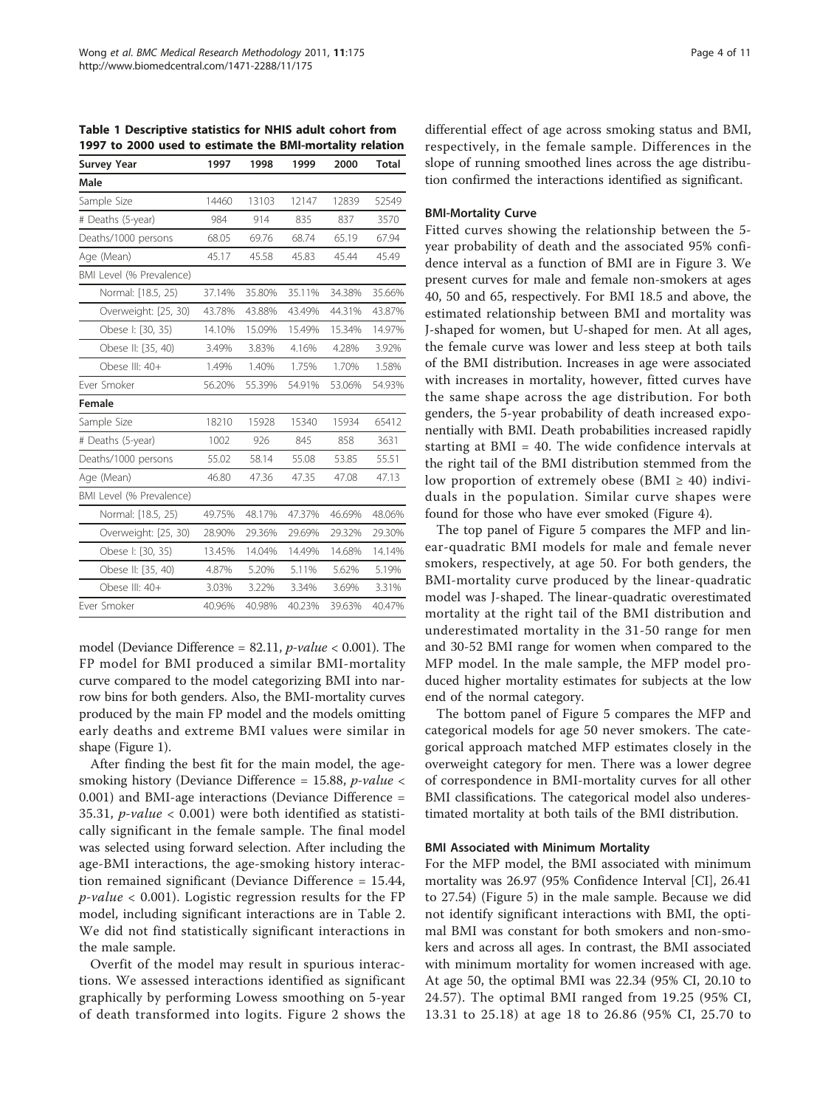<span id="page-3-0"></span>Table 1 Descriptive statistics for NHIS adult cohort from 1997 to 2000 used to estimate the BMI-mortality relation

| <b>Survey Year</b>       | 1997   | 1998   | 1999   | 2000   | <b>Total</b> |
|--------------------------|--------|--------|--------|--------|--------------|
| Male                     |        |        |        |        |              |
| Sample Size              | 14460  | 13103  | 12147  | 12839  | 52549        |
| # Deaths (5-year)        | 984    | 914    | 835    | 837    | 3570         |
| Deaths/1000 persons      | 68.05  | 69.76  | 68.74  | 65.19  | 67.94        |
| Age (Mean)               | 45.17  | 45.58  | 45.83  | 45.44  | 45.49        |
| BMI Level (% Prevalence) |        |        |        |        |              |
| Normal: [18.5, 25)       | 37.14% | 35.80% | 35.11% | 34.38% | 35.66%       |
| Overweight: [25, 30)     | 43.78% | 43.88% | 43.49% | 44.31% | 43.87%       |
| Obese I: [30, 35)        | 14.10% | 15.09% | 15.49% | 15.34% | 14.97%       |
| Obese II: [35, 40)       | 3.49%  | 3.83%  | 4.16%  | 4.28%  | 3.92%        |
| Obese III: 40+           | 1.49%  | 1.40%  | 1.75%  | 1.70%  | 1.58%        |
| Ever Smoker              | 56.20% | 55.39% | 54.91% | 53.06% | 54.93%       |
| Female                   |        |        |        |        |              |
| Sample Size              | 18210  | 15928  | 15340  | 15934  | 65412        |
| # Deaths (5-year)        | 1002   | 926    | 845    | 858    | 3631         |
| Deaths/1000 persons      | 55.02  | 58.14  | 55.08  | 53.85  | 55.51        |
| Age (Mean)               | 46.80  | 47.36  | 47.35  | 47.08  | 47.13        |
| BMI Level (% Prevalence) |        |        |        |        |              |
| Normal: [18.5, 25)       | 49.75% | 48.17% | 47.37% | 46.69% | 48.06%       |
| Overweight: [25, 30)     | 28.90% | 29.36% | 29.69% | 29.32% | 29.30%       |
| Obese I: [30, 35)        | 13.45% | 14.04% | 14.49% | 14.68% | 14.14%       |
| Obese II: [35, 40)       | 4.87%  | 5.20%  | 5.11%  | 5.62%  | 5.19%        |
| Obese III: 40+           | 3.03%  | 3.22%  | 3.34%  | 3.69%  | 3.31%        |
| Ever Smoker              | 40.96% | 40.98% | 40.23% | 39.63% | 40.47%       |
|                          |        |        |        |        |              |

model (Deviance Difference =  $82.11$ ,  $p$ -value < 0.001). The FP model for BMI produced a similar BMI-mortality curve compared to the model categorizing BMI into narrow bins for both genders. Also, the BMI-mortality curves produced by the main FP model and the models omitting early deaths and extreme BMI values were similar in shape (Figure [1\)](#page-4-0).

After finding the best fit for the main model, the agesmoking history (Deviance Difference = 15.88,  $p$ -value < 0.001) and BMI-age interactions (Deviance Difference = 35.31, p-value < 0.001) were both identified as statistically significant in the female sample. The final model was selected using forward selection. After including the age-BMI interactions, the age-smoking history interaction remained significant (Deviance Difference = 15.44,  $p$ -value < 0.001). Logistic regression results for the FP model, including significant interactions are in Table [2](#page-5-0). We did not find statistically significant interactions in the male sample.

Overfit of the model may result in spurious interactions. We assessed interactions identified as significant graphically by performing Lowess smoothing on 5-year of death transformed into logits. Figure [2](#page-5-0) shows the differential effect of age across smoking status and BMI, respectively, in the female sample. Differences in the slope of running smoothed lines across the age distribution confirmed the interactions identified as significant.

#### BMI-Mortality Curve

Fitted curves showing the relationship between the 5 year probability of death and the associated 95% confidence interval as a function of BMI are in Figure [3.](#page-6-0) We present curves for male and female non-smokers at ages 40, 50 and 65, respectively. For BMI 18.5 and above, the estimated relationship between BMI and mortality was J-shaped for women, but U-shaped for men. At all ages, the female curve was lower and less steep at both tails of the BMI distribution. Increases in age were associated with increases in mortality, however, fitted curves have the same shape across the age distribution. For both genders, the 5-year probability of death increased exponentially with BMI. Death probabilities increased rapidly starting at BMI = 40. The wide confidence intervals at the right tail of the BMI distribution stemmed from the low proportion of extremely obese (BMI  $\geq$  40) individuals in the population. Similar curve shapes were found for those who have ever smoked (Figure [4](#page-7-0)).

The top panel of Figure [5](#page-8-0) compares the MFP and linear-quadratic BMI models for male and female never smokers, respectively, at age 50. For both genders, the BMI-mortality curve produced by the linear-quadratic model was J-shaped. The linear-quadratic overestimated mortality at the right tail of the BMI distribution and underestimated mortality in the 31-50 range for men and 30-52 BMI range for women when compared to the MFP model. In the male sample, the MFP model produced higher mortality estimates for subjects at the low end of the normal category.

The bottom panel of Figure [5](#page-8-0) compares the MFP and categorical models for age 50 never smokers. The categorical approach matched MFP estimates closely in the overweight category for men. There was a lower degree of correspondence in BMI-mortality curves for all other BMI classifications. The categorical model also underestimated mortality at both tails of the BMI distribution.

#### BMI Associated with Minimum Mortality

For the MFP model, the BMI associated with minimum mortality was 26.97 (95% Confidence Interval [CI], 26.41 to 27.54) (Figure [5\)](#page-8-0) in the male sample. Because we did not identify significant interactions with BMI, the optimal BMI was constant for both smokers and non-smokers and across all ages. In contrast, the BMI associated with minimum mortality for women increased with age. At age 50, the optimal BMI was 22.34 (95% CI, 20.10 to 24.57). The optimal BMI ranged from 19.25 (95% CI, 13.31 to 25.18) at age 18 to 26.86 (95% CI, 25.70 to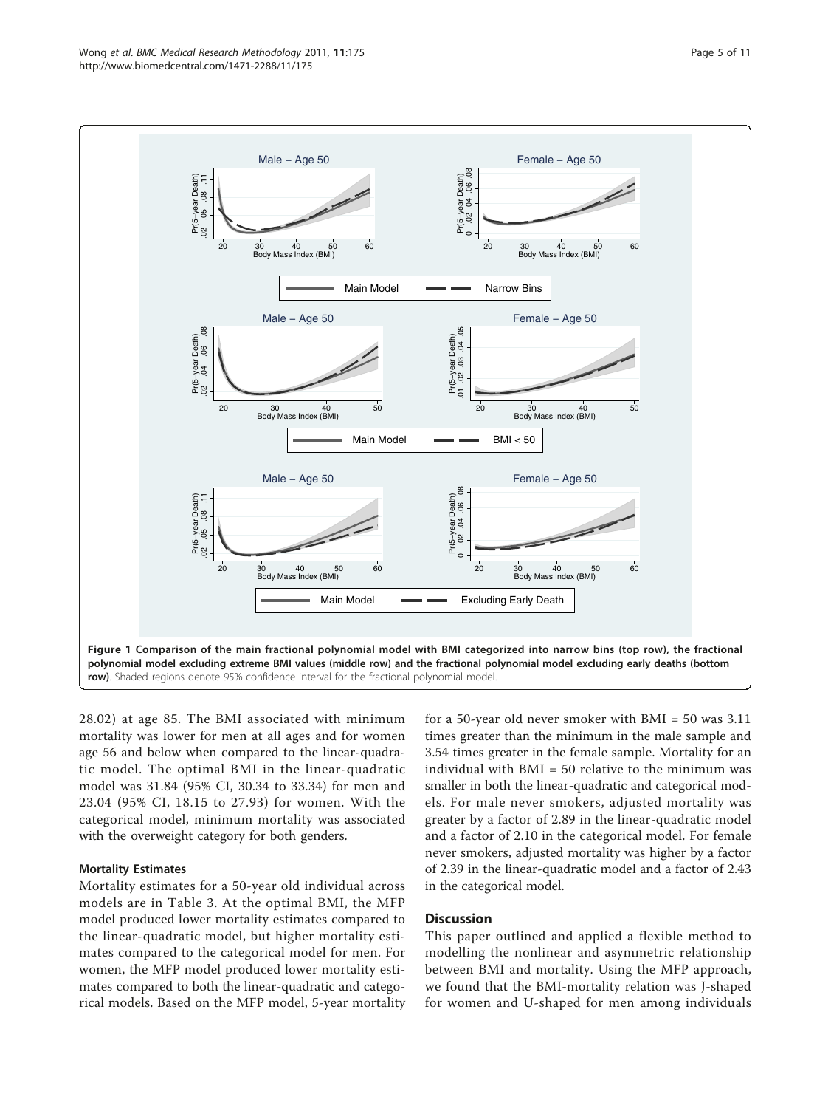<span id="page-4-0"></span>

28.02) at age 85. The BMI associated with minimum mortality was lower for men at all ages and for women age 56 and below when compared to the linear-quadratic model. The optimal BMI in the linear-quadratic model was 31.84 (95% CI, 30.34 to 33.34) for men and 23.04 (95% CI, 18.15 to 27.93) for women. With the categorical model, minimum mortality was associated with the overweight category for both genders.

# Mortality Estimates

Mortality estimates for a 50-year old individual across models are in Table [3.](#page-8-0) At the optimal BMI, the MFP model produced lower mortality estimates compared to the linear-quadratic model, but higher mortality estimates compared to the categorical model for men. For women, the MFP model produced lower mortality estimates compared to both the linear-quadratic and categorical models. Based on the MFP model, 5-year mortality

for a 50-year old never smoker with BMI = 50 was 3.11 times greater than the minimum in the male sample and 3.54 times greater in the female sample. Mortality for an individual with BMI = 50 relative to the minimum was smaller in both the linear-quadratic and categorical models. For male never smokers, adjusted mortality was greater by a factor of 2.89 in the linear-quadratic model and a factor of 2.10 in the categorical model. For female never smokers, adjusted mortality was higher by a factor of 2.39 in the linear-quadratic model and a factor of 2.43 in the categorical model.

# **Discussion**

This paper outlined and applied a flexible method to modelling the nonlinear and asymmetric relationship between BMI and mortality. Using the MFP approach, we found that the BMI-mortality relation was J-shaped for women and U-shaped for men among individuals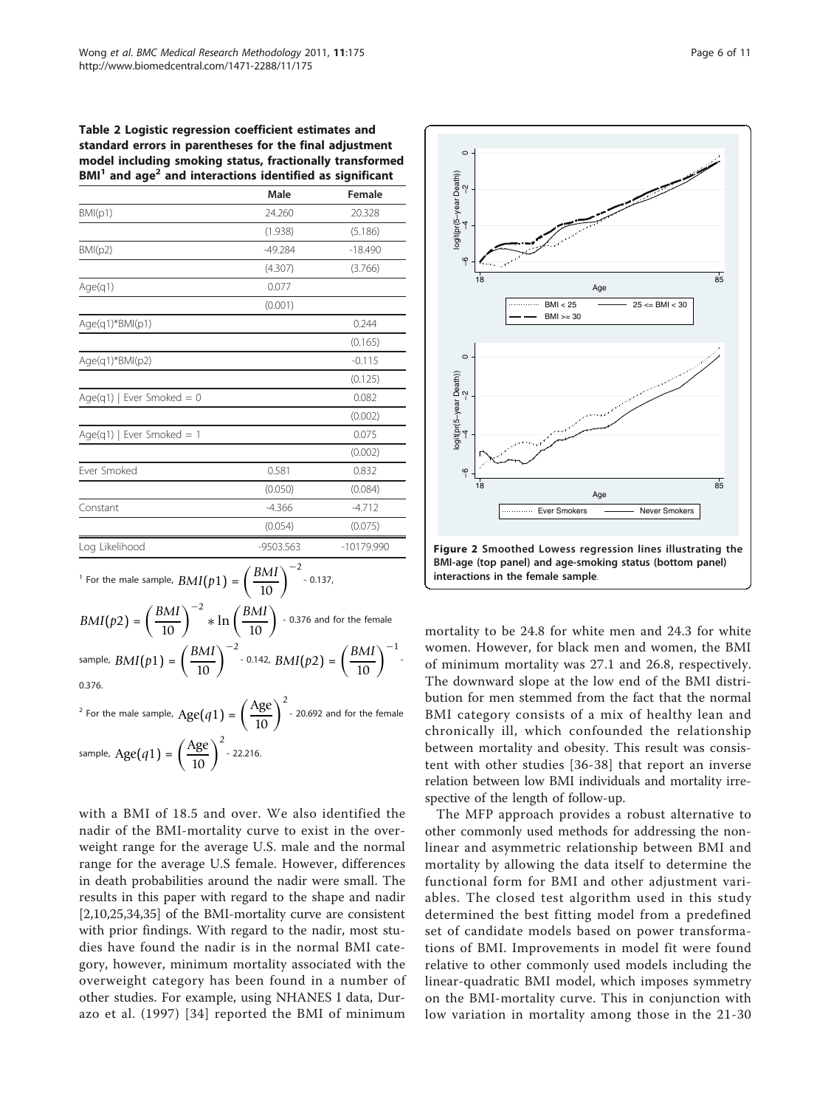<span id="page-5-0"></span>Table 2 Logistic regression coefficient estimates and standard errors in parentheses for the final adjustment model including smoking status, fractionally transformed  $BMI<sup>1</sup>$  and age<sup>2</sup> and interactions identified as significant

| BM(p1)<br>BM(p2)                                                                                                                                                                                                                                                                                                                                                                                                                         | 24.260<br>(1.938)<br>$-49.284$ | 20.328<br>(5.186)<br>$-18.490$ |
|------------------------------------------------------------------------------------------------------------------------------------------------------------------------------------------------------------------------------------------------------------------------------------------------------------------------------------------------------------------------------------------------------------------------------------------|--------------------------------|--------------------------------|
|                                                                                                                                                                                                                                                                                                                                                                                                                                          |                                |                                |
|                                                                                                                                                                                                                                                                                                                                                                                                                                          |                                |                                |
|                                                                                                                                                                                                                                                                                                                                                                                                                                          |                                |                                |
|                                                                                                                                                                                                                                                                                                                                                                                                                                          | (4.307)                        | (3.766)                        |
| Age(q1)                                                                                                                                                                                                                                                                                                                                                                                                                                  | 0.077                          |                                |
|                                                                                                                                                                                                                                                                                                                                                                                                                                          | (0.001)                        |                                |
| Age(q1)*BMI(p1)                                                                                                                                                                                                                                                                                                                                                                                                                          |                                | 0.244                          |
|                                                                                                                                                                                                                                                                                                                                                                                                                                          |                                | (0.165)                        |
| Age(q1)*BMI(p2)                                                                                                                                                                                                                                                                                                                                                                                                                          |                                | $-0.115$                       |
|                                                                                                                                                                                                                                                                                                                                                                                                                                          |                                | (0.125)                        |
| Age(q1)   Ever Smoked = 0                                                                                                                                                                                                                                                                                                                                                                                                                |                                | 0.082                          |
|                                                                                                                                                                                                                                                                                                                                                                                                                                          |                                | (0.002)                        |
| Age(g1)   Ever Smoked = 1                                                                                                                                                                                                                                                                                                                                                                                                                |                                | 0.075                          |
|                                                                                                                                                                                                                                                                                                                                                                                                                                          |                                | (0.002)                        |
| Ever Smoked                                                                                                                                                                                                                                                                                                                                                                                                                              | 0.581                          | 0.832                          |
|                                                                                                                                                                                                                                                                                                                                                                                                                                          | (0.050)                        | (0.084)                        |
| Constant                                                                                                                                                                                                                                                                                                                                                                                                                                 | $-4.366$                       | $-4.712$                       |
|                                                                                                                                                                                                                                                                                                                                                                                                                                          | (0.054)                        | (0.075)                        |
| Log Likelihood                                                                                                                                                                                                                                                                                                                                                                                                                           | -9503.563                      | -10179.990                     |
| <sup>1</sup> For the male sample, $BMI(p1) = \left(\frac{BMI}{10}\right)^{-2}$ - 0.137,<br>$BMI(p2) = \left(\frac{BMI}{10}\right)^{-2} * \ln\left(\frac{BMI}{10}\right)$ - 0.376 and for the female<br>sample, $BMI(p1) = \left(\frac{BMI}{10}\right)^{-2}$ - 0.142, $BMI(p2) = \left(\frac{BMI}{10}\right)^{-1}$ -<br>0.376.<br><sup>2</sup> For the male sample, $Age(q1) = \left(\frac{Age}{10}\right)^2$ - 20.692 and for the female |                                |                                |

with a BMI of 18.5 and over. We also identified the nadir of the BMI-mortality curve to exist in the overweight range for the average U.S. male and the normal range for the average U.S female. However, differences in death probabilities around the nadir were small. The results in this paper with regard to the shape and nadir [[2,10,25,](#page-9-0)[34,35](#page-10-0)] of the BMI-mortality curve are consistent with prior findings. With regard to the nadir, most studies have found the nadir is in the normal BMI category, however, minimum mortality associated with the overweight category has been found in a number of other studies. For example, using NHANES I data, Durazo et al. (1997) [[34\]](#page-10-0) reported the BMI of minimum



mortality to be 24.8 for white men and 24.3 for white women. However, for black men and women, the BMI of minimum mortality was 27.1 and 26.8, respectively. The downward slope at the low end of the BMI distribution for men stemmed from the fact that the normal BMI category consists of a mix of healthy lean and chronically ill, which confounded the relationship between mortality and obesity. This result was consistent with other studies [[36](#page-10-0)-[38](#page-10-0)] that report an inverse relation between low BMI individuals and mortality irrespective of the length of follow-up.

The MFP approach provides a robust alternative to other commonly used methods for addressing the nonlinear and asymmetric relationship between BMI and mortality by allowing the data itself to determine the functional form for BMI and other adjustment variables. The closed test algorithm used in this study determined the best fitting model from a predefined set of candidate models based on power transformations of BMI. Improvements in model fit were found relative to other commonly used models including the linear-quadratic BMI model, which imposes symmetry on the BMI-mortality curve. This in conjunction with low variation in mortality among those in the 21-30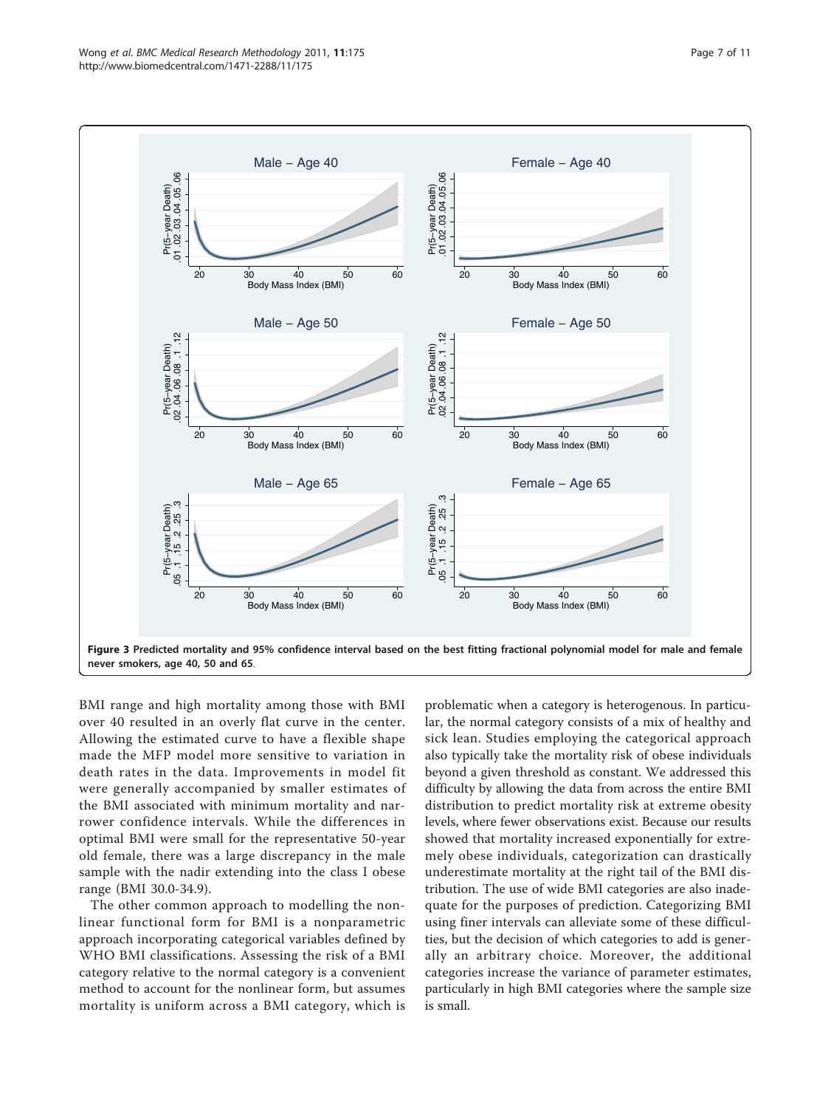<span id="page-6-0"></span>

BMI range and high mortality among those with BMI over 40 resulted in an overly flat curve in the center. Allowing the estimated curve to have a flexible shape made the MFP model more sensitive to variation in death rates in the data. Improvements in model fit were generally accompanied by smaller estimates of the BMI associated with minimum mortality and narrower confidence intervals. While the differences in optimal BMI were small for the representative 50-year old female, there was a large discrepancy in the male sample with the nadir extending into the class I obese range (BMI 30.0-34.9).

The other common approach to modelling the nonlinear functional form for BMI is a nonparametric approach incorporating categorical variables defined by WHO BMI classifications. Assessing the risk of a BMI category relative to the normal category is a convenient method to account for the nonlinear form, but assumes mortality is uniform across a BMI category, which is

problematic when a category is heterogenous. In particular, the normal category consists of a mix of healthy and sick lean. Studies employing the categorical approach also typically take the mortality risk of obese individuals beyond a given threshold as constant. We addressed this difficulty by allowing the data from across the entire BMI distribution to predict mortality risk at extreme obesity levels, where fewer observations exist. Because our results showed that mortality increased exponentially for extremely obese individuals, categorization can drastically underestimate mortality at the right tail of the BMI distribution. The use of wide BMI categories are also inadequate for the purposes of prediction. Categorizing BMI using finer intervals can alleviate some of these difficulties, but the decision of which categories to add is generally an arbitrary choice. Moreover, the additional categories increase the variance of parameter estimates, particularly in high BMI categories where the sample size is small.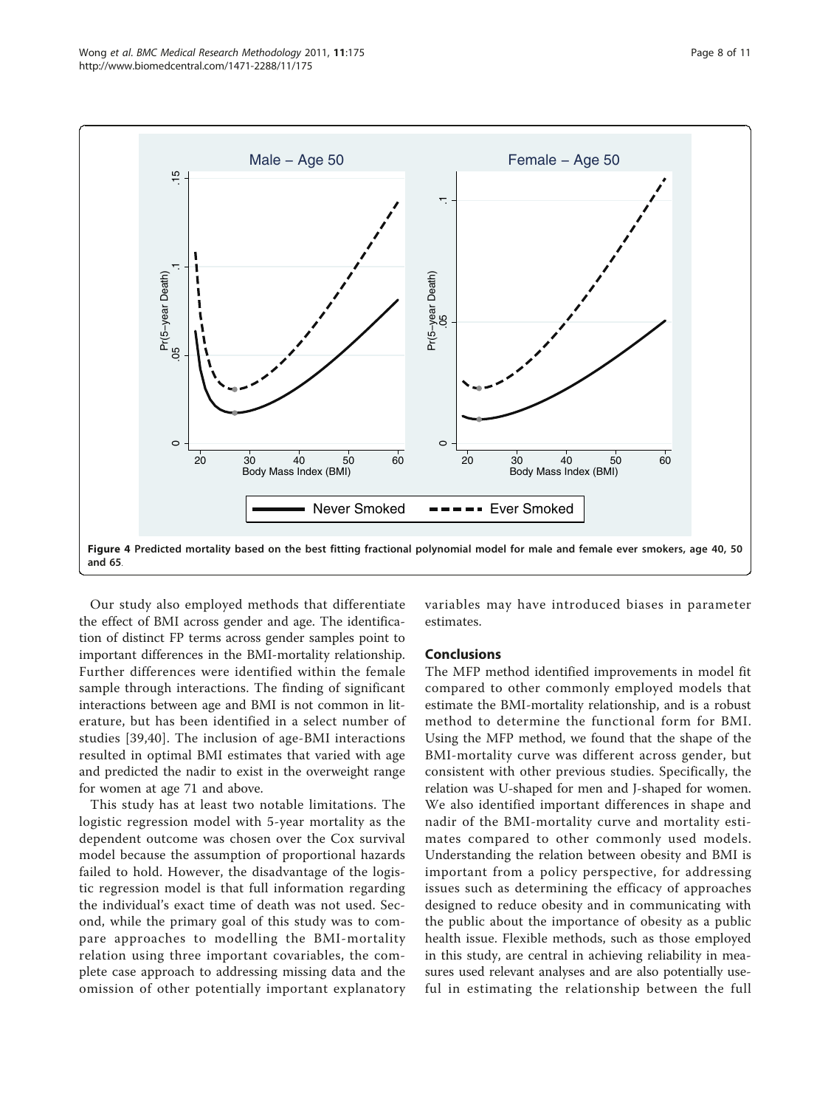<span id="page-7-0"></span>

Our study also employed methods that differentiate the effect of BMI across gender and age. The identification of distinct FP terms across gender samples point to important differences in the BMI-mortality relationship. Further differences were identified within the female sample through interactions. The finding of significant interactions between age and BMI is not common in literature, but has been identified in a select number of studies [[39](#page-10-0),[40](#page-10-0)]. The inclusion of age-BMI interactions resulted in optimal BMI estimates that varied with age and predicted the nadir to exist in the overweight range for women at age 71 and above.

This study has at least two notable limitations. The logistic regression model with 5-year mortality as the dependent outcome was chosen over the Cox survival model because the assumption of proportional hazards failed to hold. However, the disadvantage of the logistic regression model is that full information regarding the individual's exact time of death was not used. Second, while the primary goal of this study was to compare approaches to modelling the BMI-mortality relation using three important covariables, the complete case approach to addressing missing data and the omission of other potentially important explanatory variables may have introduced biases in parameter estimates.

#### Conclusions

The MFP method identified improvements in model fit compared to other commonly employed models that estimate the BMI-mortality relationship, and is a robust method to determine the functional form for BMI. Using the MFP method, we found that the shape of the BMI-mortality curve was different across gender, but consistent with other previous studies. Specifically, the relation was U-shaped for men and J-shaped for women. We also identified important differences in shape and nadir of the BMI-mortality curve and mortality estimates compared to other commonly used models. Understanding the relation between obesity and BMI is important from a policy perspective, for addressing issues such as determining the efficacy of approaches designed to reduce obesity and in communicating with the public about the importance of obesity as a public health issue. Flexible methods, such as those employed in this study, are central in achieving reliability in measures used relevant analyses and are also potentially useful in estimating the relationship between the full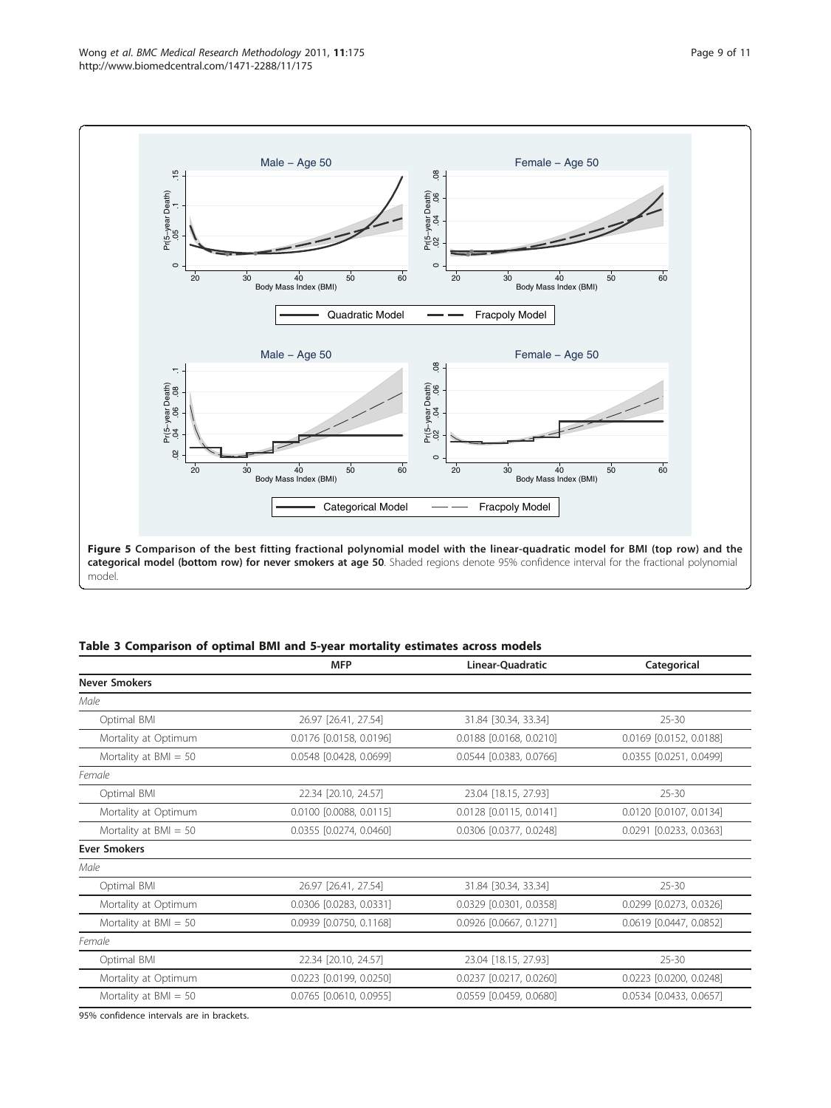<span id="page-8-0"></span>

### Table 3 Comparison of optimal BMI and 5-year mortality estimates across models

|                         | <b>MFP</b>              | Linear-Quadratic                  | Categorical             |
|-------------------------|-------------------------|-----------------------------------|-------------------------|
| <b>Never Smokers</b>    |                         |                                   |                         |
| Male                    |                         |                                   |                         |
| Optimal BMI             | 26.97 [26.41, 27.54]    | 31.84 [30.34, 33.34]              | $25 - 30$               |
| Mortality at Optimum    | 0.0176 [0.0158, 0.0196] | 0.0188 [0.0168, 0.0210]           | 0.0169 [0.0152, 0.0188] |
| Mortality at $BMI = 50$ | 0.0548 [0.0428, 0.0699] | 0.0544 [0.0383, 0.0766]           | 0.0355 [0.0251, 0.0499] |
| Female                  |                         |                                   |                         |
| Optimal BMI             | 22.34 [20.10, 24.57]    | 23.04 [18.15, 27.93]              | $25 - 30$               |
| Mortality at Optimum    | 0.0100 [0.0088, 0.0115] | 0.0128 [0.0115, 0.0141]           | 0.0120 [0.0107, 0.0134] |
| Mortality at $BMI = 50$ | 0.0355 [0.0274, 0.0460] | 0.0306 [0.0377, 0.0248]           | 0.0291 [0.0233, 0.0363] |
| <b>Ever Smokers</b>     |                         |                                   |                         |
| Male                    |                         |                                   |                         |
| Optimal BMI             | 26.97 [26.41, 27.54]    | 31.84 [30.34, 33.34]<br>$25 - 30$ |                         |
| Mortality at Optimum    | 0.0306 [0.0283, 0.0331] | 0.0329 [0.0301, 0.0358]           | 0.0299 [0.0273, 0.0326] |
| Mortality at $BMI = 50$ | 0.0939 [0.0750, 0.1168] | 0.0926 [0.0667, 0.1271]           | 0.0619 [0.0447, 0.0852] |
| Female                  |                         |                                   |                         |
| Optimal BMI             | 22.34 [20.10, 24.57]    | 23.04 [18.15, 27.93]<br>$25 - 30$ |                         |
| Mortality at Optimum    | 0.0223 [0.0199, 0.0250] | 0.0237 [0.0217, 0.0260]           | 0.0223 [0.0200, 0.0248] |
| Mortality at $BMI = 50$ | 0.0765 [0.0610, 0.0955] | 0.0559 [0.0459, 0.0680]           | 0.0534 [0.0433, 0.0657] |

95% confidence intervals are in brackets.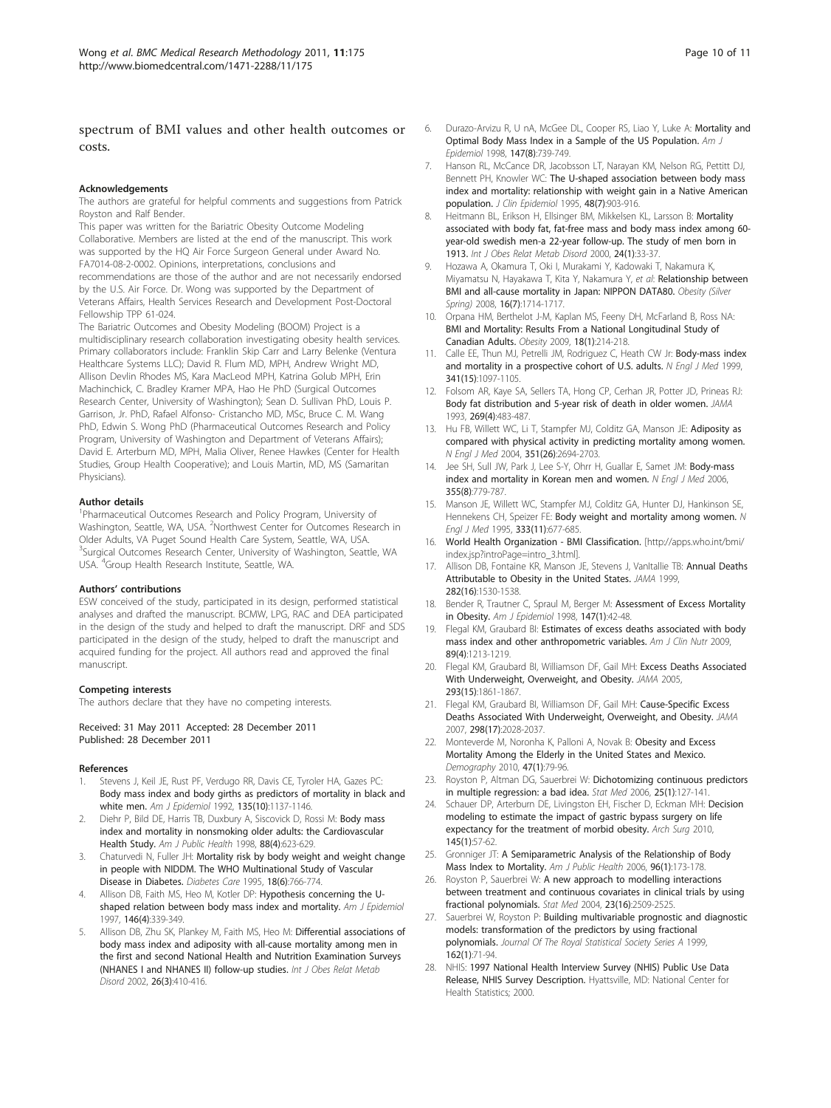# <span id="page-9-0"></span>spectrum of BMI values and other health outcomes or costs.

#### Acknowledgements

The authors are grateful for helpful comments and suggestions from Patrick Royston and Ralf Bender.

This paper was written for the Bariatric Obesity Outcome Modeling Collaborative. Members are listed at the end of the manuscript. This work was supported by the HQ Air Force Surgeon General under Award No. FA7014-08-2-0002. Opinions, interpretations, conclusions and

recommendations are those of the author and are not necessarily endorsed by the U.S. Air Force. Dr. Wong was supported by the Department of Veterans Affairs, Health Services Research and Development Post-Doctoral Fellowship TPP 61-024.

The Bariatric Outcomes and Obesity Modeling (BOOM) Project is a multidisciplinary research collaboration investigating obesity health services. Primary collaborators include: Franklin Skip Carr and Larry Belenke (Ventura Healthcare Systems LLC); David R. Flum MD, MPH, Andrew Wright MD, Allison Devlin Rhodes MS, Kara MacLeod MPH, Katrina Golub MPH, Erin Machinchick, C. Bradley Kramer MPA, Hao He PhD (Surgical Outcomes Research Center, University of Washington); Sean D. Sullivan PhD, Louis P. Garrison, Jr. PhD, Rafael Alfonso- Cristancho MD, MSc, Bruce C. M. Wang PhD, Edwin S. Wong PhD (Pharmaceutical Outcomes Research and Policy Program, University of Washington and Department of Veterans Affairs); David E. Arterburn MD, MPH, Malia Oliver, Renee Hawkes (Center for Health Studies, Group Health Cooperative); and Louis Martin, MD, MS (Samaritan Physicians).

#### Author details

<sup>1</sup>Pharmaceutical Outcomes Research and Policy Program, University of Washington, Seattle, WA, USA. <sup>2</sup>Northwest Center for Outcomes Research in Older Adults, VA Puget Sound Health Care System, Seattle, WA, USA. <sup>3</sup>Surgical Outcomes Research Center, University of Washington, Seattle, WA USA. <sup>4</sup> Group Health Research Institute, Seattle, WA.

#### Authors' contributions

ESW conceived of the study, participated in its design, performed statistical analyses and drafted the manuscript. BCMW, LPG, RAC and DEA participated in the design of the study and helped to draft the manuscript. DRF and SDS participated in the design of the study, helped to draft the manuscript and acquired funding for the project. All authors read and approved the final manuscript.

#### Competing interests

The authors declare that they have no competing interests.

#### Received: 31 May 2011 Accepted: 28 December 2011 Published: 28 December 2011

#### References

- Stevens J, Keil JE, Rust PF, Verdugo RR, Davis CE, Tyroler HA, Gazes PC: [Body mass index and body girths as predictors of mortality in black and](http://www.ncbi.nlm.nih.gov/pubmed/1632424?dopt=Abstract) [white men.](http://www.ncbi.nlm.nih.gov/pubmed/1632424?dopt=Abstract) Am J Epidemiol 1992, 135(10):1137-1146.
- Diehr P, Bild DE, Harris TB, Duxbury A, Siscovick D, Rossi M: [Body mass](http://www.ncbi.nlm.nih.gov/pubmed/9551005?dopt=Abstract) [index and mortality in nonsmoking older adults: the Cardiovascular](http://www.ncbi.nlm.nih.gov/pubmed/9551005?dopt=Abstract) [Health Study.](http://www.ncbi.nlm.nih.gov/pubmed/9551005?dopt=Abstract) Am J Public Health 1998, 88(4):623-629.
- Chaturvedi N, Fuller JH: [Mortality risk by body weight and weight change](http://www.ncbi.nlm.nih.gov/pubmed/7555501?dopt=Abstract) [in people with NIDDM. The WHO Multinational Study of Vascular](http://www.ncbi.nlm.nih.gov/pubmed/7555501?dopt=Abstract) [Disease in Diabetes.](http://www.ncbi.nlm.nih.gov/pubmed/7555501?dopt=Abstract) Diabetes Care 1995, 18(6):766-774.
- Allison DB, Faith MS, Heo M, Kotler DP: [Hypothesis concerning the U](http://www.ncbi.nlm.nih.gov/pubmed/9270413?dopt=Abstract)[shaped relation between body mass index and mortality.](http://www.ncbi.nlm.nih.gov/pubmed/9270413?dopt=Abstract) Am J Epidemiol 1997, 146(4):339-349.
- 5. Allison DB, Zhu SK, Plankey M, Faith MS, Heo M: [Differential associations of](http://www.ncbi.nlm.nih.gov/pubmed/11896498?dopt=Abstract) [body mass index and adiposity with all-cause mortality among men in](http://www.ncbi.nlm.nih.gov/pubmed/11896498?dopt=Abstract) [the first and second National Health and Nutrition Examination Surveys](http://www.ncbi.nlm.nih.gov/pubmed/11896498?dopt=Abstract) [\(NHANES I and NHANES II\) follow-up studies.](http://www.ncbi.nlm.nih.gov/pubmed/11896498?dopt=Abstract) Int J Obes Relat Metab Disord 2002, 26(3):410-416.
- 6. Durazo-Arvizu R, U nA, McGee DL, Cooper RS, Liao Y, Luke A: [Mortality and](http://www.ncbi.nlm.nih.gov/pubmed/9554415?dopt=Abstract) [Optimal Body Mass Index in a Sample of the US Population.](http://www.ncbi.nlm.nih.gov/pubmed/9554415?dopt=Abstract) Am J Epidemiol 1998, 147(8):739-749.
- 7. Hanson RL, McCance DR, Jacobsson LT, Narayan KM, Nelson RG, Pettitt DJ, Bennett PH, Knowler WC: [The U-shaped association between body mass](http://www.ncbi.nlm.nih.gov/pubmed/7782799?dopt=Abstract) [index and mortality: relationship with weight gain in a Native American](http://www.ncbi.nlm.nih.gov/pubmed/7782799?dopt=Abstract) [population.](http://www.ncbi.nlm.nih.gov/pubmed/7782799?dopt=Abstract) J Clin Epidemiol 1995, 48(7):903-916.
- 8. Heitmann BL, Erikson H, Ellsinger BM, Mikkelsen KL, Larsson B: [Mortality](http://www.ncbi.nlm.nih.gov/pubmed/10702748?dopt=Abstract) [associated with body fat, fat-free mass and body mass index among 60](http://www.ncbi.nlm.nih.gov/pubmed/10702748?dopt=Abstract) [year-old swedish men-a 22-year follow-up. The study of men born in](http://www.ncbi.nlm.nih.gov/pubmed/10702748?dopt=Abstract) [1913.](http://www.ncbi.nlm.nih.gov/pubmed/10702748?dopt=Abstract) Int J Obes Relat Metab Disord 2000, 24(1):33-37.
- 9. Hozawa A, Okamura T, Oki I, Murakami Y, Kadowaki T, Nakamura K, Miyamatsu N, Hayakawa T, Kita Y, Nakamura Y, et al: Relationship between BMI and all-cause mortality in Japan: NIPPON DATA80. Obesity (Silver Spring) 2008, 16(7):1714-1717.
- 10. Orpana HM, Berthelot J-M, Kaplan MS, Feeny DH, McFarland B, Ross NA: [BMI and Mortality: Results From a National Longitudinal Study of](http://www.ncbi.nlm.nih.gov/pubmed/19543208?dopt=Abstract) [Canadian Adults.](http://www.ncbi.nlm.nih.gov/pubmed/19543208?dopt=Abstract) Obesity 2009, 18(1):214-218.
- 11. Calle EE, Thun MJ, Petrelli JM, Rodriguez C, Heath CW Jr: [Body-mass index](http://www.ncbi.nlm.nih.gov/pubmed/10511607?dopt=Abstract) [and mortality in a prospective cohort of U.S. adults.](http://www.ncbi.nlm.nih.gov/pubmed/10511607?dopt=Abstract) N Engl J Med 1999, 341(15):1097-1105.
- 12. Folsom AR, Kaye SA, Sellers TA, Hong CP, Cerhan JR, Potter JD, Prineas RJ: [Body fat distribution and 5-year risk of death in older women.](http://www.ncbi.nlm.nih.gov/pubmed/8419667?dopt=Abstract) JAMA 1993, 269(4):483-487.
- 13. Hu FB, Willett WC, Li T, Stampfer MJ, Colditz GA, Manson JE: [Adiposity as](http://www.ncbi.nlm.nih.gov/pubmed/15616204?dopt=Abstract) [compared with physical activity in predicting mortality among women.](http://www.ncbi.nlm.nih.gov/pubmed/15616204?dopt=Abstract) N Engl J Med 2004, 351(26):2694-2703.
- 14. Jee SH, Sull JW, Park J, Lee S-Y, Ohrr H, Guallar E, Samet JM: [Body-mass](http://www.ncbi.nlm.nih.gov/pubmed/16926276?dopt=Abstract) [index and mortality in Korean men and women.](http://www.ncbi.nlm.nih.gov/pubmed/16926276?dopt=Abstract) N Engl J Med 2006, 355(8):779-787.
- 15. Manson JE, Willett WC, Stampfer MJ, Colditz GA, Hunter DJ, Hankinson SE, Hennekens CH, Speizer FE: [Body weight and mortality among women.](http://www.ncbi.nlm.nih.gov/pubmed/7637744?dopt=Abstract) N Engl J Med 1995, 333(11):677-685.
- 16. World Health Organization BMI Classification. [[http://apps.who.int/bmi/](http://apps.who.int/bmi/index.jsp?introPage=intro_3.html) [index.jsp?introPage=intro\\_3.html\]](http://apps.who.int/bmi/index.jsp?introPage=intro_3.html).
- 17. Allison DB, Fontaine KR, Manson JE, Stevens J, VanItallie TB: [Annual Deaths](http://www.ncbi.nlm.nih.gov/pubmed/10546692?dopt=Abstract) [Attributable to Obesity in the United States.](http://www.ncbi.nlm.nih.gov/pubmed/10546692?dopt=Abstract) JAMA 1999, 282(16):1530-1538.
- 18. Bender R, Trautner C, Spraul M, Berger M: [Assessment of Excess Mortality](http://www.ncbi.nlm.nih.gov/pubmed/9440397?dopt=Abstract) [in Obesity.](http://www.ncbi.nlm.nih.gov/pubmed/9440397?dopt=Abstract) Am J Epidemiol 1998, 147(1):42-48.
- 19. Flegal KM, Graubard BI: [Estimates of excess deaths associated with body](http://www.ncbi.nlm.nih.gov/pubmed/19190072?dopt=Abstract) [mass index and other anthropometric variables.](http://www.ncbi.nlm.nih.gov/pubmed/19190072?dopt=Abstract) Am J Clin Nutr 2009, 89(4):1213-1219.
- 20. Flegal KM, Graubard BI, Williamson DF, Gail MH: [Excess Deaths Associated](http://www.ncbi.nlm.nih.gov/pubmed/15840860?dopt=Abstract) [With Underweight, Overweight, and Obesity.](http://www.ncbi.nlm.nih.gov/pubmed/15840860?dopt=Abstract) JAMA 2005, 293(15):1861-1867.
- 21. Flegal KM, Graubard BI, Williamson DF, Gail MH: [Cause-Specific Excess](http://www.ncbi.nlm.nih.gov/pubmed/17986696?dopt=Abstract) [Deaths Associated With Underweight, Overweight, and Obesity.](http://www.ncbi.nlm.nih.gov/pubmed/17986696?dopt=Abstract) JAMA 2007, 298(17):2028-2037.
- 22. Monteverde M, Noronha K, Palloni A, Novak B: [Obesity and Excess](http://www.ncbi.nlm.nih.gov/pubmed/20355685?dopt=Abstract) [Mortality Among the Elderly in the United States and Mexico.](http://www.ncbi.nlm.nih.gov/pubmed/20355685?dopt=Abstract) Demography 2010, 47(1):79-96.
- 23. Royston P, Altman DG, Sauerbrei W: [Dichotomizing continuous predictors](http://www.ncbi.nlm.nih.gov/pubmed/16217841?dopt=Abstract) [in multiple regression: a bad idea.](http://www.ncbi.nlm.nih.gov/pubmed/16217841?dopt=Abstract) Stat Med 2006, 25(1):127-141.
- 24. Schauer DP, Arterburn DE, Livingston EH, Fischer D, Eckman MH: [Decision](http://www.ncbi.nlm.nih.gov/pubmed/20083755?dopt=Abstract) [modeling to estimate the impact of gastric bypass surgery on life](http://www.ncbi.nlm.nih.gov/pubmed/20083755?dopt=Abstract) [expectancy for the treatment of morbid obesity.](http://www.ncbi.nlm.nih.gov/pubmed/20083755?dopt=Abstract) Arch Surg 2010, 145(1):57-62.
- 25. Gronniger JT: [A Semiparametric Analysis of the Relationship of Body](http://www.ncbi.nlm.nih.gov/pubmed/16131644?dopt=Abstract) [Mass Index to Mortality.](http://www.ncbi.nlm.nih.gov/pubmed/16131644?dopt=Abstract) Am J Public Health 2006, 96(1):173-178.
- 26. Royston P, Sauerbrei W: [A new approach to modelling interactions](http://www.ncbi.nlm.nih.gov/pubmed/15287081?dopt=Abstract) [between treatment and continuous covariates in clinical trials by using](http://www.ncbi.nlm.nih.gov/pubmed/15287081?dopt=Abstract) [fractional polynomials.](http://www.ncbi.nlm.nih.gov/pubmed/15287081?dopt=Abstract) Stat Med 2004, 23(16):2509-2525.
- 27. Sauerbrei W, Royston P: Building multivariable prognostic and diagnostic models: transformation of the predictors by using fractional polynomials. Journal Of The Royal Statistical Society Series A 1999, 162(1):71-94.
- 28. NHIS: 1997 National Health Interview Survey (NHIS) Public Use Data Release, NHIS Survey Description. Hyattsville, MD: National Center for Health Statistics; 2000.